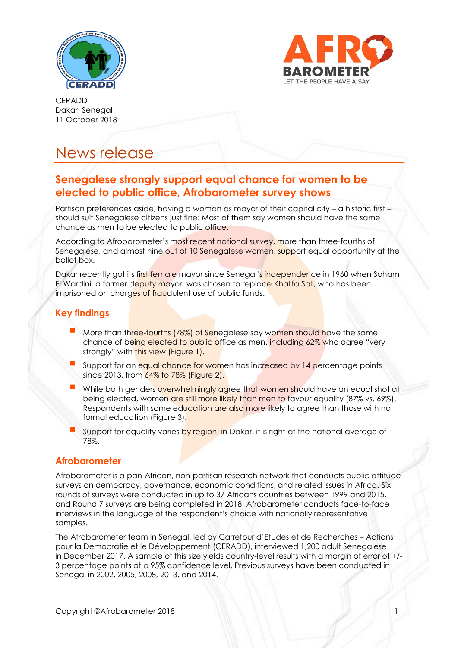



# News release

## **Senegalese strongly support equal chance for women to be elected to public office, Afrobarometer survey shows**

Partisan preferences aside, having a woman as mayor of their capital city – a historic first should suit Senegalese citizens just fine: Most of them say women should have the same chance as men to be elected to public office.

According to Afrobarometer's most recent national survey, more than three-fourths of Senegalese, and almost nine out of 10 Senegalese women, support equal opportunity at the ballot box.

Dakar recently got its first female mayor since Senegal's independence in 1960 when Soham El Wardini, a former deputy mayor, was chosen to replace Khalifa Sall, who has been imprisoned on charges of fraudulent use of public funds.

### **Key findings**

- More than three-fourths (78%) of Senegalese say women should have the same chance of being elected to public office as men, including 62% who agree "very strongly" with this view (Figure 1).
- Support for an equal chance for women has increased by 14 percentage points since 2013, from 64% to 78% (Figure 2).
- While both genders overwhelmingly agree that women should have an equal shot at being elected, women are still more likely than men to favour equality (87% vs. 69%). Respondents with some education are also more likely to agree than those with no formal education (Figure 3).
- Support for equality varies by region; in Dakar, it is right at the national average of 78%.

#### **Afrobarometer**

Afrobarometer is a pan-African, non-partisan research network that conducts public attitude surveys on democracy, governance, economic conditions, and related issues in Africa. Six rounds of surveys were conducted in up to 37 Africans countries between 1999 and 2015, and Round 7 surveys are being completed in 2018. Afrobarometer conducts face-to-face interviews in the language of the respondent's choice with nationally representative samples.

The Afrobarometer team in Senegal, led by Carrefour d'Etudes et de Recherches – Actions pour la Démocratie et le Développement (CERADD), interviewed 1,200 adult Senegalese in December 2017. A sample of this size yields country-level results with a margin of error of +/- 3 percentage points at a 95% confidence level. Previous surveys have been conducted in Senegal in 2002, 2005, 2008, 2013, and 2014.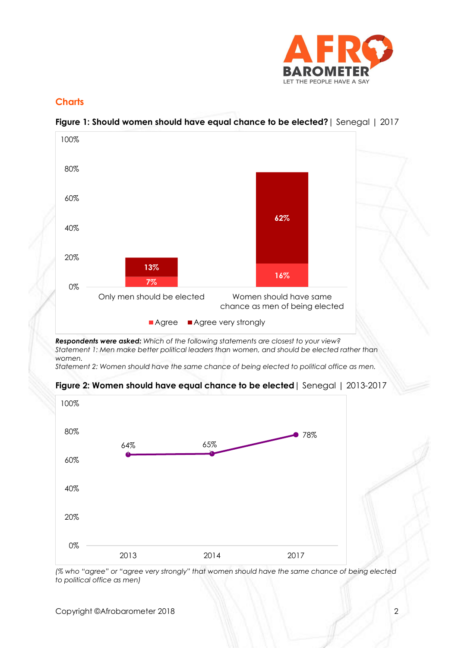

### **Charts**



## **Figure 1: Should women should have equal chance to be elected?**| Senegal | 2017

*Respondents were asked: Which of the following statements are closest to your view? Statement 1: Men make better political leaders than women, and should be elected rather than women.*

*Statement 2: Women should have the same chance of being elected to political office as men.*





*(% who "agree" or "agree very strongly" that women should have the same chance of being elected to political office as men)*